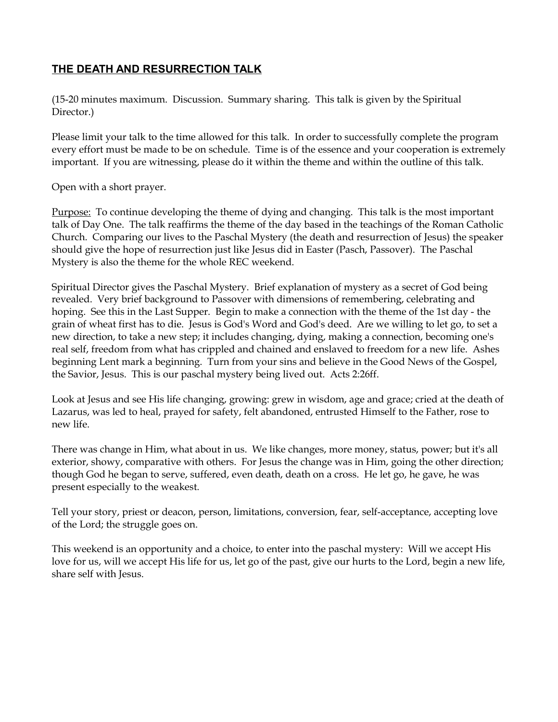## **THE DEATH AND RESURRECTION TALK**

(15-20 minutes maximum. Discussion. Summary sharing. This talk is given by the Spiritual Director.)

Please limit your talk to the time allowed for this talk. In order to successfully complete the program every effort must be made to be on schedule. Time is of the essence and your cooperation is extremely important. If you are witnessing, please do it within the theme and within the outline of this talk.

Open with a short prayer.

Purpose: To continue developing the theme of dying and changing. This talk is the most important talk of Day One. The talk reaffirms the theme of the day based in the teachings of the Roman Catholic Church. Comparing our lives to the Paschal Mystery (the death and resurrection of Jesus) the speaker should give the hope of resurrection just like Jesus did in Easter (Pasch, Passover). The Paschal Mystery is also the theme for the whole REC weekend.

Spiritual Director gives the Paschal Mystery. Brief explanation of mystery as a secret of God being revealed. Very brief background to Passover with dimensions of remembering, celebrating and hoping. See this in the Last Supper. Begin to make a connection with the theme of the 1st day - the grain of wheat first has to die. Jesus is God's Word and God's deed. Are we willing to let go, to set a new direction, to take a new step; it includes changing, dying, making a connection, becoming one's real self, freedom from what has crippled and chained and enslaved to freedom for a new life. Ashes beginning Lent mark a beginning. Turn from your sins and believe in the Good News of the Gospel, the Savior, Jesus. This is our paschal mystery being lived out. Acts 2:26ff.

Look at Jesus and see His life changing, growing: grew in wisdom, age and grace; cried at the death of Lazarus, was led to heal, prayed for safety, felt abandoned, entrusted Himself to the Father, rose to new life.

There was change in Him, what about in us. We like changes, more money, status, power; but it's all exterior, showy, comparative with others. For Jesus the change was in Him, going the other direction; though God he began to serve, suffered, even death, death on a cross. He let go, he gave, he was present especially to the weakest.

Tell your story, priest or deacon, person, limitations, conversion, fear, self-acceptance, accepting love of the Lord; the struggle goes on.

This weekend is an opportunity and a choice, to enter into the paschal mystery: Will we accept His love for us, will we accept His life for us, let go of the past, give our hurts to the Lord, begin a new life, share self with Jesus.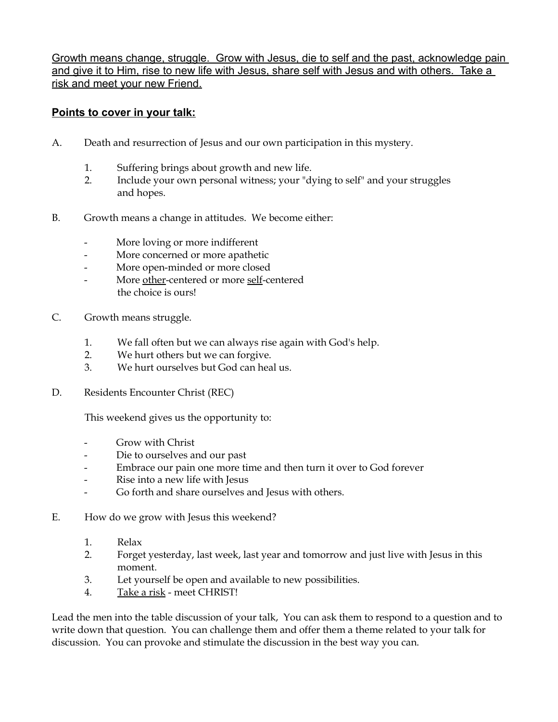Growth means change, struggle. Grow with Jesus, die to self and the past, acknowledge pain and give it to Him, rise to new life with Jesus, share self with Jesus and with others. Take a risk and meet your new Friend.

## **Points to cover in your talk:**

- A. Death and resurrection of Jesus and our own participation in this mystery.
	- 1. Suffering brings about growth and new life.
	- 2. Include your own personal witness; your "dying to self" and your struggles and hopes.
- B. Growth means a change in attitudes. We become either:
	- More loving or more indifferent
	- More concerned or more apathetic
	- More open-minded or more closed
	- More other-centered or more self-centered the choice is ours!
- C. Growth means struggle.
	- 1. We fall often but we can always rise again with God's help.
	- 2. We hurt others but we can forgive.
	- 3. We hurt ourselves but God can heal us.
- D. Residents Encounter Christ (REC)

This weekend gives us the opportunity to:

- Grow with Christ
- Die to ourselves and our past
- Embrace our pain one more time and then turn it over to God forever
- Rise into a new life with Jesus
- Go forth and share ourselves and Jesus with others.
- E. How do we grow with Jesus this weekend?
	- 1. Relax
	- 2. Forget yesterday, last week, last year and tomorrow and just live with Jesus in this moment.
	- 3. Let yourself be open and available to new possibilities.
	- 4. Take a risk meet CHRIST!

Lead the men into the table discussion of your talk, You can ask them to respond to a question and to write down that question. You can challenge them and offer them a theme related to your talk for discussion. You can provoke and stimulate the discussion in the best way you can.